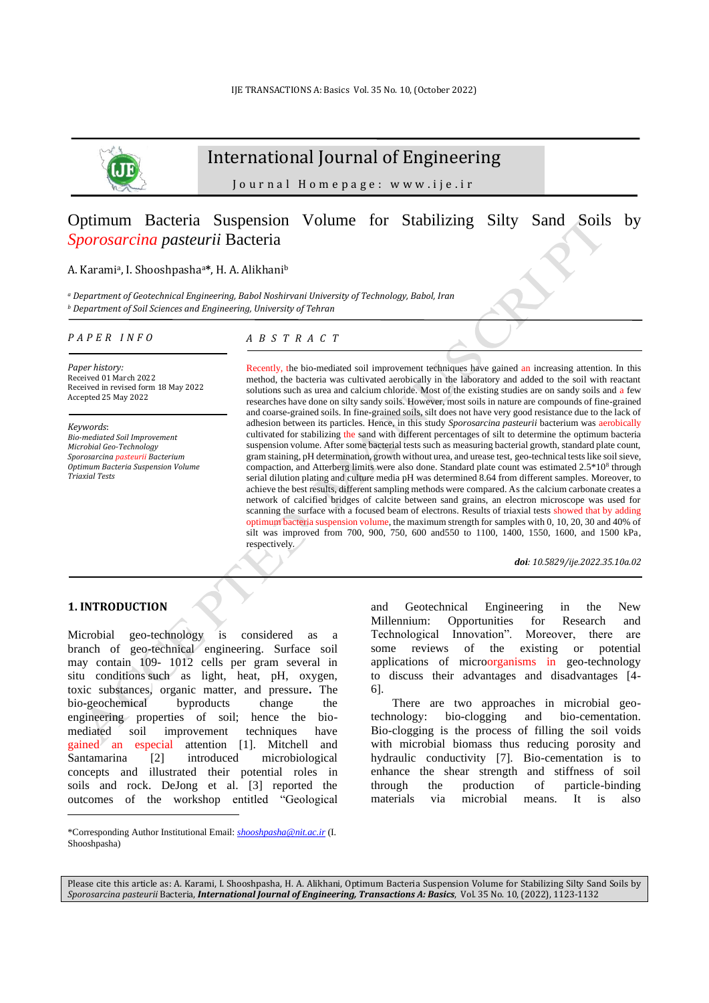

# International Journal of Engineering

J o u r n a l H o m e p a g e : w w w . i j e . i r

# Optimum Bacteria Suspension Volume for Stabilizing Silty Sand Soils by *Sporosarcina pasteurii* Bacteria

# A. Karami<sup>a</sup> , I. Shooshpashaa**\***, H. A. Alikhani<sup>b</sup>

*<sup>a</sup> [Department of Geotechnical Engineering,](https://www.researchgate.net/institution/Babol_Noshirvani_University_of_Technology/department/Department_of_Geotechnical_Engineering) Babol Noshirvani University of Technology, Babol, Iran <sup>b</sup> Department of Soil Sciences and Engineering, University of Tehran*

#### *P A P E R I N F O*

# *A B S T R A C T*

*Paper history:* Received 01 March 2022 Received in revised form 18 May 2022 Accepted 25 May 2022

*Keywords*: *Bio-mediated Soil Improvement Microbial Geo-Technology Sporosarcina pasteurii Bacterium Optimum Bacteria Suspension Volume Triaxial Tests*

Recently, the bio-mediated soil improvement techniques have gained an increasing attention. In this method, the bacteria was cultivated aerobically in the laboratory and added to the soil with reactant solutions such as urea and calcium chloride. Most of the existing studies are on sandy soils and a few researches have done on silty sandy soils. However, most soils in nature are compounds of fine-grained and coarse-grained soils. In fine-grained soils, silt does not have very good resistance due to the lack of adhesion between its particles. Hence, in this study *Sporosarcina pasteurii* bacterium was aerobically cultivated for stabilizing the sand with different percentages of silt to determine the optimum bacteria suspension volume. After some bacterial tests such as measuring bacterial growth, standard plate count, gram staining, pH determination, growth without urea, and urease test, geo-technical tests like soil sieve, compaction, and Atterberg limits were also done. Standard plate count was estimated  $2.5*10<sup>8</sup>$  through serial dilution plating and culture media pH was determined 8.64 from different samples. Moreover, to achieve the best results, different sampling methods were compared. As the calcium carbonate creates a network of calcified bridges of calcite between sand grains, an electron microscope was used for scanning the surface with a focused beam of electrons. Results of triaxial tests showed that by adding optimum bacteria suspension volume, the maximum strength for samples with 0, 10, 20, 30 and 40% of silt was improved from 700, 900, 750, 600 and550 to 1100, 1400, 1550, 1600, and 1500 kPa, respectively*.*

*doi: 10.5829/ije.2022.35.10a.02*

# **1. INTRODUCTION<sup>1</sup>**

Microbial geo-technology is considered as a branch of geo-technical engineering. Surface soil may contain 109- 1012 cells per gram several in situ conditions such as light, heat, pH, oxygen, toxic substances, organic matter, and pressure**.** The bio**-**geochemical byproducts change the engineering properties of soil; hence the biomediated soil improvement techniques have gained an especial attention [1]. Mitchell and Santamarina [2] introduced microbiological concepts and illustrated their potential roles in soils and rock. DeJong et al. [3] reported the outcomes of the workshop entitled "Geological and Geotechnical Engineering in the New Millennium: Opportunities for Research and Technological Innovation". Moreover, there are some reviews of the existing or potential applications of microorganisms in geo-technology to discuss their advantages and disadvantages [4- 6].

There are two approaches in microbial geotechnology: bio-clogging and bio-cementation. Bio-clogging is the process of filling the soil voids with microbial biomass thus reducing porosity and hydraulic conductivity [7]. Bio-cementation is to enhance the shear strength and stiffness of soil through the production of particle-binding materials via microbial means. It is also

Please cite this article as: A. Karami, I. Shooshpasha, H. A. Alikhani, Optimum Bacteria Suspension Volume for Stabilizing Silty Sand Soils by *Sporosarcina pasteurii* Bacteria, *International Journal of Engineering, Transactions A: Basics*, Vol. 35 No. 10, (2022), 1123-1132

<sup>\*</sup>Corresponding Author Institutional Email: *[shooshpasha@nit.ac.ir](mailto:shooshpasha@nit.ac.ir)* (I. Shooshpasha)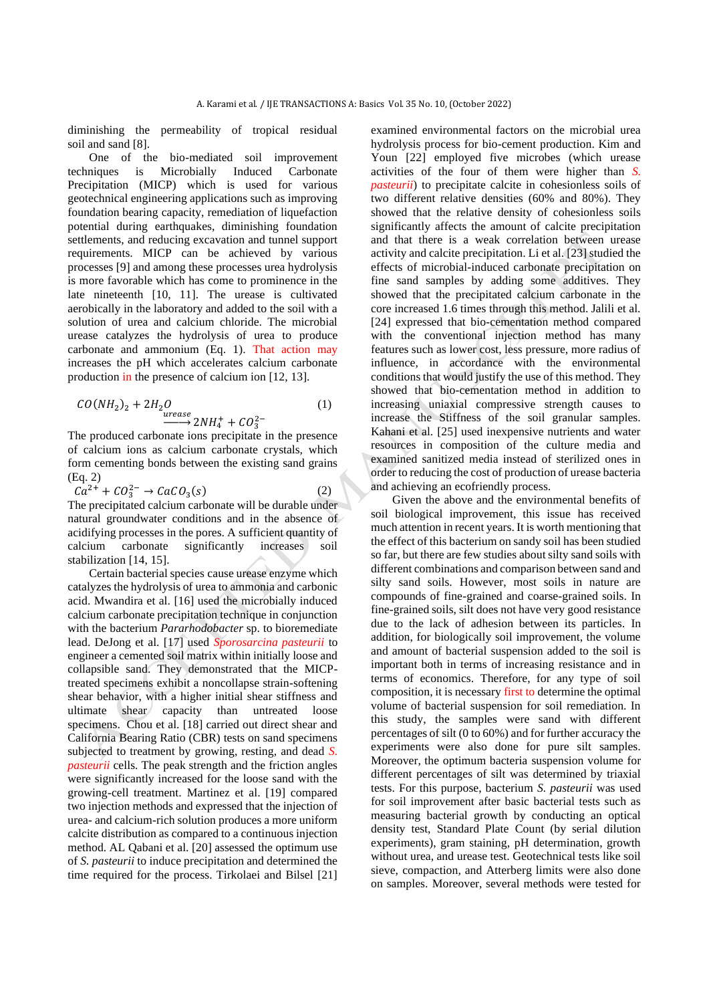diminishing the permeability of tropical residual soil and sand [8].

One of the bio-mediated soil improvement techniques is Microbially Induced Carbonate Precipitation (MICP) which is used for various geotechnical engineering applications such as improving foundation bearing capacity, remediation of liquefaction potential during earthquakes, diminishing foundation settlements, and reducing excavation and tunnel support requirements. MICP can be achieved by various processes [9] and among these processes urea hydrolysis is more favorable which has come to prominence in the late nineteenth [10, 11]. The urease is cultivated aerobically in the laboratory and added to the soil with a solution of urea and calcium chloride. The microbial urease catalyzes the hydrolysis of urea to produce carbonate and ammonium (Eq. 1). That action may increases the pH which accelerates calcium carbonate production in the presence of calcium ion [12, 13].

$$
CO(NH2)2 + 2H2O
$$
  
*urease*  

$$
2NH4+ + CO32-
$$
 (1)

The produced carbonate ions precipitate in the presence of calcium ions as calcium carbonate crystals, which form cementing bonds between the existing sand grains (Eq. 2)

$$
Ca^{2+} + CO_3^{2-} \rightarrow CaCO_3(s)
$$
 (2)

The precipitated calcium carbonate will be durable under natural groundwater conditions and in the absence of acidifying processes in the pores. A sufficient quantity of calcium carbonate significantly increases soil stabilization [14, 15].

Certain bacterial species cause urease enzyme which catalyzes the hydrolysis of urea to ammonia and carbonic acid. Mwandira et al. [16] used the microbially induced calcium carbonate precipitation technique in conjunction with the bacterium *Pararhodobacter* sp. to bioremediate lead. DeJong et al. [17] used *Sporosarcina pasteurii* to engineer a cemented soil matrix within initially loose and collapsible sand. They demonstrated that the MICPtreated specimens exhibit a noncollapse strain-softening shear behavior, with a higher initial shear stiffness and ultimate shear capacity than untreated loose specimens. Chou et al. [18] carried out direct shear and California Bearing Ratio (CBR) tests on sand specimens subjected to treatment by growing, resting, and dead *S. pasteurii* cells. The peak strength and the friction angles were significantly increased for the loose sand with the growing-cell treatment. Martinez et al. [19] compared two injection methods and expressed that the injection of urea- and calcium-rich solution produces a more uniform calcite distribution as compared to a continuous injection method. AL Qabani et al. [20] assessed the optimum use of *S. pasteurii* to induce precipitation and determined the time required for the process. Tirkolaei and Bilsel [21] examined environmental factors on the microbial urea hydrolysis process for bio-cement production. Kim and Youn [22] employed five microbes (which urease activities of the four of them were higher than *S. pasteurii*) to precipitate calcite in cohesionless soils of two different relative densities (60% and 80%). They showed that the relative density of cohesionless soils significantly affects the amount of calcite precipitation and that there is a weak correlation between urease activity and calcite precipitation. Li et al. [23] studied the effects of microbial-induced carbonate precipitation on fine sand samples by adding some additives. They showed that the precipitated calcium carbonate in the core increased 1.6 times through this method. Jalili et al. [24] expressed that bio-cementation method compared with the conventional injection method has many features such as lower cost, less pressure, more radius of influence, in accordance with the environmental conditions that would justify the use of this method. They showed that bio-cementation method in addition to increasing uniaxial compressive strength causes to increase the Stiffness of the soil granular samples. Kahani et al. [25] used inexpensive nutrients and water resources in composition of the culture media and examined sanitized media instead of sterilized ones in order to reducing the cost of production of urease bacteria and achieving an ecofriendly process.

Given the above and the environmental benefits of soil biological improvement, this issue has received much attention in recent years. It is worth mentioning that the effect of this bacterium on sandy soil has been studied so far, but there are few studies about silty sand soils with different combinations and comparison between sand and silty sand soils. However, most soils in nature are compounds of fine-grained and coarse-grained soils. In fine-grained soils, silt does not have very good resistance due to the lack of adhesion between its particles. In addition, for biologically soil improvement, the volume and amount of bacterial suspension added to the soil is important both in terms of increasing resistance and in terms of economics. Therefore, for any type of soil composition, it is necessary first to determine the optimal volume of bacterial suspension for soil remediation. In this study, the samples were sand with different percentages of silt (0 to 60%) and for further accuracy the experiments were also done for pure silt samples. Moreover, the optimum bacteria suspension volume for different percentages of silt was determined by triaxial tests. For this purpose, bacterium *S. pasteurii* was used for soil improvement after basic bacterial tests such as measuring bacterial growth by conducting an optical density test, Standard Plate Count (by serial dilution experiments), gram staining, pH determination, growth without urea, and urease test. Geotechnical tests like soil sieve, compaction, and Atterberg limits were also done on samples. Moreover, several methods were tested for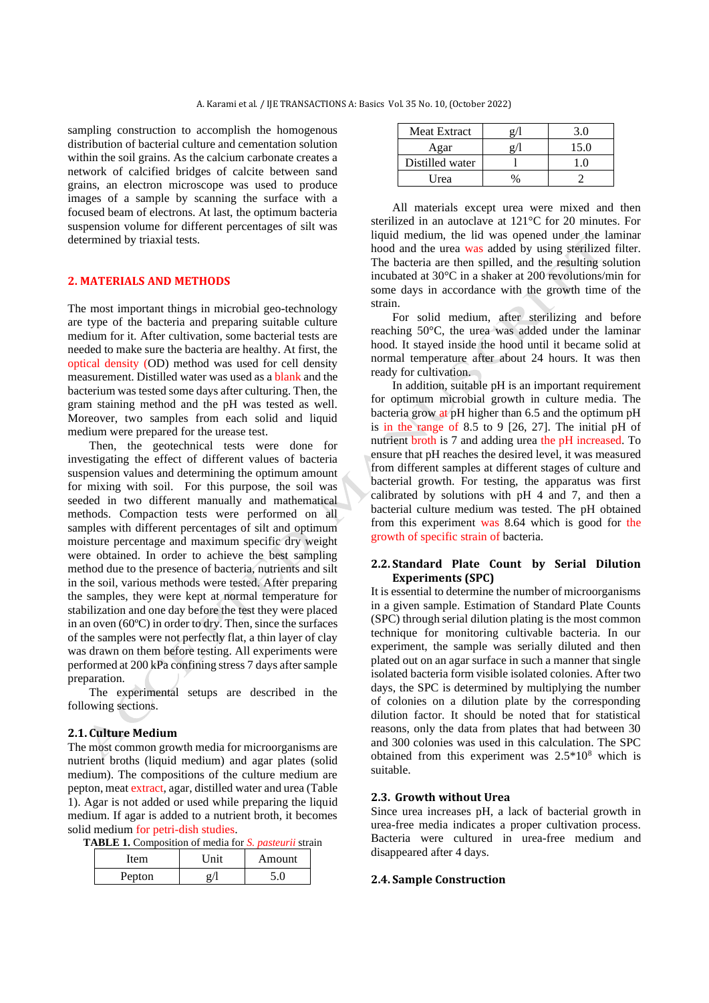sampling construction to accomplish the homogenous distribution of bacterial culture and cementation solution within the soil grains. As the calcium carbonate creates a network of calcified bridges of calcite between sand grains, an electron microscope was used to produce images of a sample by scanning the surface with a focused beam of electrons. At last, the optimum bacteria suspension volume for different percentages of silt was determined by triaxial tests.

# **2. MATERIALS AND METHODS**

The most important things in microbial geo-technology are type of the bacteria and preparing suitable culture medium for it. After cultivation, some bacterial tests are needed to make sure the bacteria are healthy. At first, the optical density (OD) method was used for cell density measurement. Distilled water was used as a blank and the bacterium was tested some days after culturing. Then, the gram staining method and the pH was tested as well. Moreover, two samples from each solid and liquid medium were prepared for the urease test.

Then, the geotechnical tests were done for investigating the effect of different values of bacteria suspension values and determining the optimum amount for mixing with soil. For this purpose, the soil was seeded in two different manually and mathematical methods. Compaction tests were performed on all samples with different percentages of silt and optimum moisture percentage and maximum specific dry weight were obtained. In order to achieve the best sampling method due to the presence of bacteria, nutrients and silt in the soil, various methods were tested. After preparing the samples, they were kept at normal temperature for stabilization and one day before the test they were placed in an oven (60ºC) in order to dry. Then, since the surfaces of the samples were not perfectly flat, a thin layer of clay was drawn on them before testing. All experiments were performed at 200 kPa confining stress 7 days after sample preparation.

The experimental setups are described in the following sections.

#### **2.1. Culture Medium**

The most common growth media for microorganisms are nutrient broths (liquid medium) and [agar plates](https://en.wikipedia.org/wiki/Agar_plate) (solid medium). The compositions of the culture medium are pepton, meat extract, agar, distilled water and urea (Table 1). Agar is not added or used while preparing the liquid medium. If agar is added to a nutrient broth, it becomes solid medium for petri-dish studies.

**TABLE 1.** Composition of media for *S. pasteurii* strain

| Item   | I Init | Amount |
|--------|--------|--------|
| Pepton |        |        |

| <b>Meat Extract</b> | 3.0  |
|---------------------|------|
| Agar                | 15.0 |
| Distilled water     | - () |
| Urea                |      |

All materials except urea were mixed and then sterilized in an autoclave at 121°C for 20 minutes. For liquid medium, the lid was opened under the laminar hood and the urea was added by using sterilized filter. The bacteria are then spilled, and the resulting solution incubated at 30°C in a shaker at 200 revolutions/min for some days in accordance with the growth time of the strain.

For solid medium, after sterilizing and before reaching 50°C, the urea was added under the laminar hood. It stayed inside the hood until it became solid at normal temperature after about 24 hours. It was then ready for cultivation.

In addition, suitable pH is an important requirement for optimum microbial growth in culture media. The bacteria grow at pH higher than 6.5 and the optimum pH is in the range of 8.5 to 9 [26, 27]. The initial pH of nutrient broth is 7 and adding urea the pH increased. To ensure that pH reaches the desired level, it was measured from different samples at different stages of culture and bacterial growth. For testing, the apparatus was first calibrated by solutions with pH 4 and 7, and then a bacterial culture medium was tested. The pH obtained from this experiment was 8.64 which is good for the growth of specific strain of bacteria.

### **2.2. Standard Plate Count by Serial Dilution Experiments (SPC)**

It is essential to determine the number of microorganisms in a given sample. Estimation of Standard Plate Counts (SPC) through serial dilution plating is the most common technique for monitoring cultivable bacteria. In our experiment, the sample was serially diluted and then plated out on an agar surface in such a manner that single isolated bacteria form visible isolated colonies. After two days, the SPC is determined by multiplying the number of colonies on a dilution plate by the corresponding dilution factor. It should be noted that for statistical reasons, only the data from plates that had between 30 and 300 colonies was used in this calculation. The SPC obtained from this experiment was 2.5\*10<sup>8</sup> which is suitable.

#### **2.3. Growth without Urea**

Since urea increases pH, a lack of bacterial growth in urea-free media indicates a proper cultivation process. Bacteria were cultured in urea-free medium and disappeared after 4 days.

# **2.4. Sample Construction**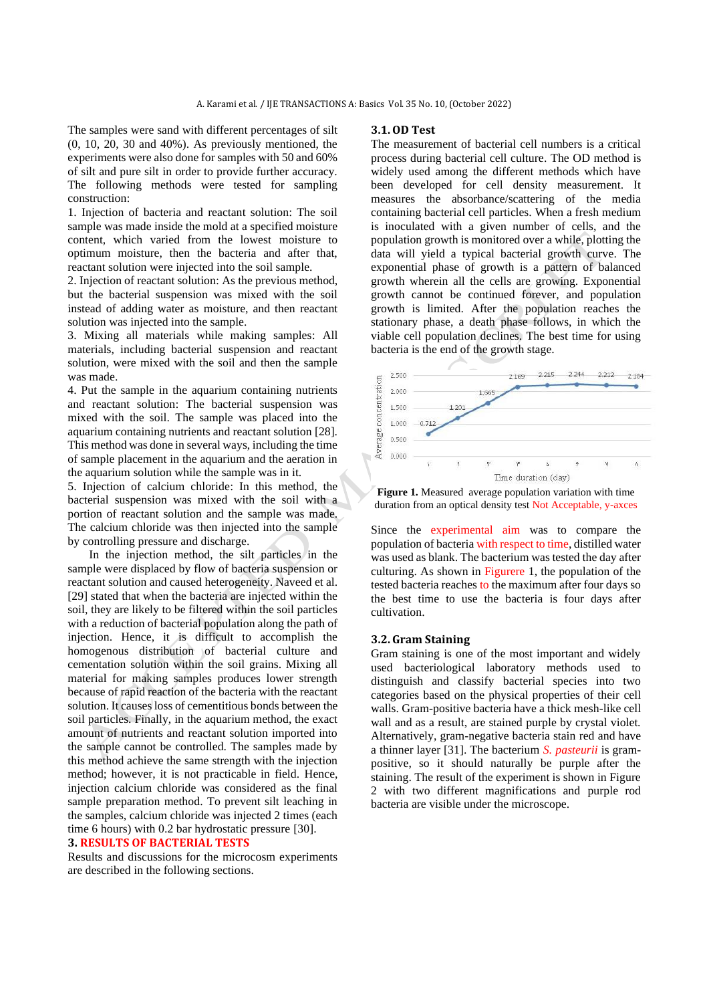The samples were sand with different percentages of silt (0, 10, 20, 30 and 40%). As previously mentioned, the experiments were also done for samples with 50 and 60% of silt and pure silt in order to provide further accuracy. The following methods were tested for sampling construction:

1. Injection of bacteria and reactant solution: The soil sample was made inside the mold at a specified moisture content, which varied from the lowest moisture to optimum moisture, then the bacteria and after that, reactant solution were injected into the soil sample.

2. Injection of reactant solution: As the previous method, but the bacterial suspension was mixed with the soil instead of adding water as moisture, and then reactant solution was injected into the sample.

3. Mixing all materials while making samples: All materials, including bacterial suspension and reactant solution, were mixed with the soil and then the sample was made.

4. Put the sample in the aquarium containing nutrients and reactant solution: The bacterial suspension was mixed with the soil. The sample was placed into the aquarium containing nutrients and reactant solution [28]. This method was done in several ways, including the time of sample placement in the aquarium and the aeration in the aquarium solution while the sample was in it.

5. Injection of calcium chloride: In this method, the bacterial suspension was mixed with the soil with a portion of reactant solution and the sample was made. The calcium chloride was then injected into the sample by controlling pressure and discharge.

In the injection method, the silt particles in the sample were displaced by flow of bacteria suspension or reactant solution and caused heterogeneity. Naveed et al. [29] stated that when the bacteria are injected within the soil, they are likely to be filtered within the soil particles with a reduction of bacterial population along the path of injection. Hence, it is difficult to accomplish the homogenous distribution of bacterial culture and cementation solution within the soil grains. Mixing all material for making samples produces lower strength because of rapid reaction of the bacteria with the reactant solution. It causes loss of cementitious bonds between the soil particles. Finally, in the aquarium method, the exact amount of nutrients and reactant solution imported into the sample cannot be controlled. The samples made by this method achieve the same strength with the injection method; however, it is not practicable in field. Hence, injection calcium chloride was considered as the final sample preparation method. To prevent silt leaching in the samples, calcium chloride was injected 2 times (each time 6 hours) with 0.2 bar hydrostatic pressure [30].

# **3. RESULTS OF BACTERIAL TESTS**

Results and discussions for the microcosm experiments are described in the following sections.

#### **3.1.OD Test**

The measurement of bacterial cell numbers is a critical process during bacterial cell culture. The OD method is widely used among the different methods which have been developed for cell density measurement. It measures the absorbance/scattering of the media containing bacterial cell particles. When a fresh medium is inoculated with a given number of cells, and the population growth is monitored over a while, plotting the data will yield a typical bacterial growth curve. The exponential phase of growth is a pattern of balanced growth wherein all the cells are growing. Exponential growth cannot be continued forever, and population growth is limited. After the population reaches the stationary phase, a death phase follows, in which the viable cell population declines. The best time for using bacteria is the end of the growth stage.



**Figure 1.** Measured average population variation with time duration from an optical density test Not Acceptable, y-axces

Since the experimental aim was to compare the population of bacteria with respect to time, distilled water was used as blank. The bacterium was tested the day after culturing. As shown in Figurere 1, the population of the tested bacteria reaches to the maximum after four days so the best time to use the bacteria is four days after cultivation.

#### **3.2. Gram Staining**

Gram staining is one of the most important and widely used [bacteriological](https://en.wikipedia.org/wiki/Bacteriology) [laboratory](https://en.wikipedia.org/wiki/Laboratory) methods used to distinguish and classify [bacterial](https://en.wikipedia.org/wiki/Bacteria) species into two categories based on the physical properties of their [cell](https://en.wikipedia.org/wiki/Cell_wall)  [walls.](https://en.wikipedia.org/wiki/Cell_wall) Gram-positive bacteria have a thick mesh-like cell wall and as a result, are stained purple by crystal violet. Alternatively, gram-negative bacteria stain red and have a thinner layer [31]. The bacterium *S. pasteurii* is grampositive, so it should naturally be purple after the staining. The result of the experiment is shown in Figure 2 with two different magnifications and purple rod bacteria are visible under the microscope.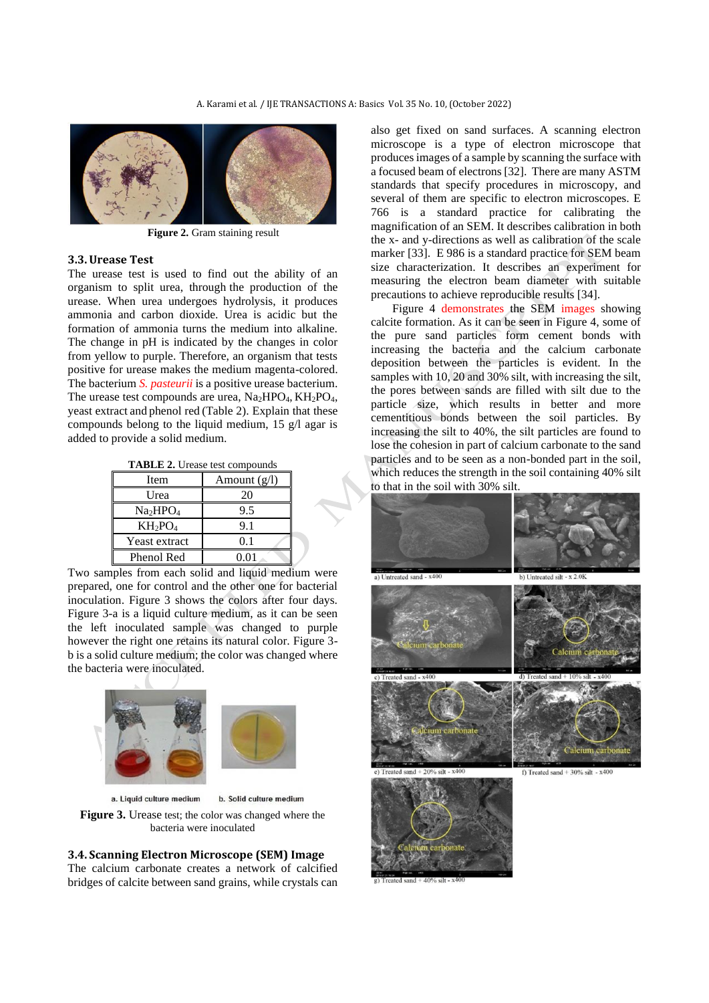

**Figure 2.** Gram staining result

#### **3.3.Urease Test**

The urease test is used to find out the ability of an organism to split urea, through the production of the urease. When urea undergoes hydrolysis, it produces ammonia and carbon dioxide. Urea is acidic but the formation of ammonia turns the medium into alkaline. The change in pH is indicated by the changes in color from yellow to purple. Therefore, an organism that tests positive for urease makes the medium magenta-colored. The bacterium *S. pasteurii* is a positive urease bacterium. The urease test compounds are urea,  $Na<sub>2</sub>HPO<sub>4</sub>$ ,  $KH<sub>2</sub>PO<sub>4</sub>$ , yeast extract and phenol red (Table 2). Explain that these compounds belong to the liquid medium, 15 g/l agar is added to provide a solid medium.

| <b>TABLE 2.</b> Urease test compounds |  |  |  |
|---------------------------------------|--|--|--|
|---------------------------------------|--|--|--|

| Item                             | Amount $(g/l)$ |
|----------------------------------|----------------|
| Urea                             | 20             |
| Na <sub>2</sub> HPO <sub>4</sub> | 9.5            |
| $KH_2PO_4$                       | 9.1            |
| Yeast extract                    | 0.1            |
| Phenol Red                       | 0.01           |

Two samples from each solid and liquid medium were prepared, one for control and the other one for bacterial inoculation. Figure 3 shows the colors after four days. Figure 3-a is a liquid culture medium, as it can be seen the left inoculated sample was changed to purple however the right one retains its natural color. Figure 3 b is a solid culture medium; the color was changed where the bacteria were inoculated.



a. Liquid culture medium b. Solid culture medium

**Figure 3.** Urease test; the color was changed where the bacteria were inoculated

# **3.4. Scanning Electron Microscope (SEM) Image**

The calcium carbonate creates a network of calcified bridges of calcite between sand grains, while crystals can also get fixed on sand surfaces. A scanning electron microscope is a type of electron microscope that produces images of a sample by scanning the surface with a focused beam of electrons [32]. There are many ASTM standards that specify procedures in microscopy, and several of them are specific to electron microscopes. E 766 is a standard practice for calibrating the magnification of an SEM. It describes calibration in both the x- and y-directions as well as calibration of the scale marker [33]. E 986 is a standard practice for SEM beam size characterization. It describes an experiment for measuring the electron beam diameter with suitable precautions to achieve reproducible results [34].

Figure 4 demonstrates the SEM images showing calcite formation. As it can be seen in Figure 4, some of the pure sand particles form cement bonds with increasing the bacteria and the calcium carbonate deposition between the particles is evident. In the samples with 10, 20 and 30% silt, with increasing the silt, the pores between sands are filled with silt due to the particle size, which results in better and more cementitious bonds between the soil particles. By increasing the silt to 40%, the silt particles are found to lose the cohesion in part of calcium carbonate to the sand particles and to be seen as a non-bonded part in the soil, which reduces the strength in the soil containing 40% silt to that in the soil with 30% silt.

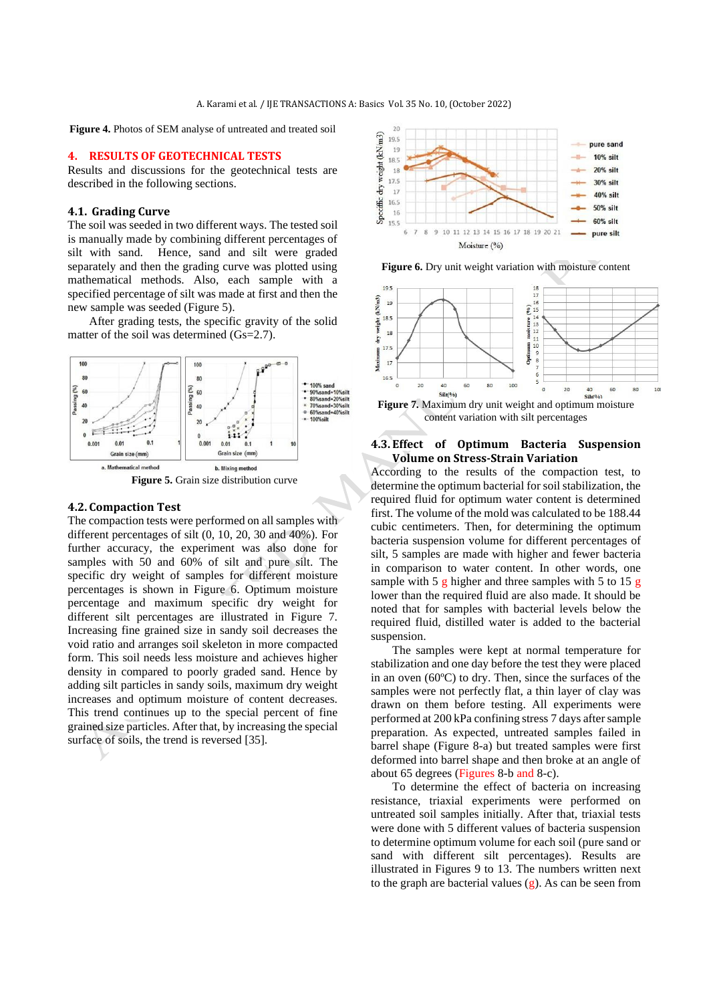**Figure 4.** Photos of SEM analyse of untreated and treated soil

#### **4. RESULTS OF GEOTECHNICAL TESTS**

Results and discussions for the geotechnical tests are described in the following sections.

# **4.1. Grading Curve**

The soil was seeded in two different ways. The tested soil is manually made by combining different percentages of silt with sand. Hence, sand and silt were graded separately and then the grading curve was plotted using mathematical methods. Also, each sample with a specified percentage of silt was made at first and then the new sample was seeded (Figure 5).

After grading tests, the specific gravity of the solid matter of the soil was determined (Gs=2.7).



**Figure 5.** Grain size distribution curve

#### **4.2. Compaction Test**

The compaction tests were performed on all samples with different percentages of silt (0, 10, 20, 30 and 40%). For further accuracy, the experiment was also done for samples with 50 and 60% of silt and pure silt. The specific dry weight of samples for different moisture percentages is shown in Figure 6. Optimum moisture percentage and maximum specific dry weight for different silt percentages are illustrated in Figure 7. Increasing fine grained size in sandy soil decreases the void ratio and arranges soil skeleton in more compacted form. This soil needs less moisture and achieves higher density in compared to poorly graded sand. Hence by adding silt particles in sandy soils, maximum dry weight increases and optimum moisture of content decreases. This trend continues up to the special percent of fine grained size particles. After that, by increasing the special surface of soils, the trend is reversed [35].







**Figure 7.** Maximum dry unit weight and optimum moisture content variation with silt percentages

### **4.3. Effect of Optimum Bacteria Suspension Volume on Stress-Strain Variation**

According to the results of the compaction test, to determine the optimum bacterial for soil stabilization, the required fluid for optimum water content is determined first. The volume of the mold was calculated to be 188.44 cubic centimeters. Then, for determining the optimum bacteria suspension volume for different percentages of silt, 5 samples are made with higher and fewer bacteria in comparison to water content. In other words, one sample with 5 g higher and three samples with 5 to 15 g lower than the required fluid are also made. It should be noted that for samples with bacterial levels below the required fluid, distilled water is added to the bacterial suspension.

The samples were kept at normal temperature for stabilization and one day before the test they were placed in an oven (60ºC) to dry. Then, since the surfaces of the samples were not perfectly flat, a thin layer of clay was drawn on them before testing. All experiments were performed at 200 kPa confining stress 7 days after sample preparation. As expected, untreated samples failed in barrel shape (Figure 8-a) but treated samples were first deformed into barrel shape and then broke at an angle of about 65 degrees (Figures 8-b and 8-c).

To determine the effect of bacteria on increasing resistance, triaxial experiments were performed on untreated soil samples initially. After that, triaxial tests were done with 5 different values of bacteria suspension to determine optimum volume for each soil (pure sand or sand with different silt percentages). Results are illustrated in Figures 9 to 13. The numbers written next to the graph are bacterial values  $(g)$ . As can be seen from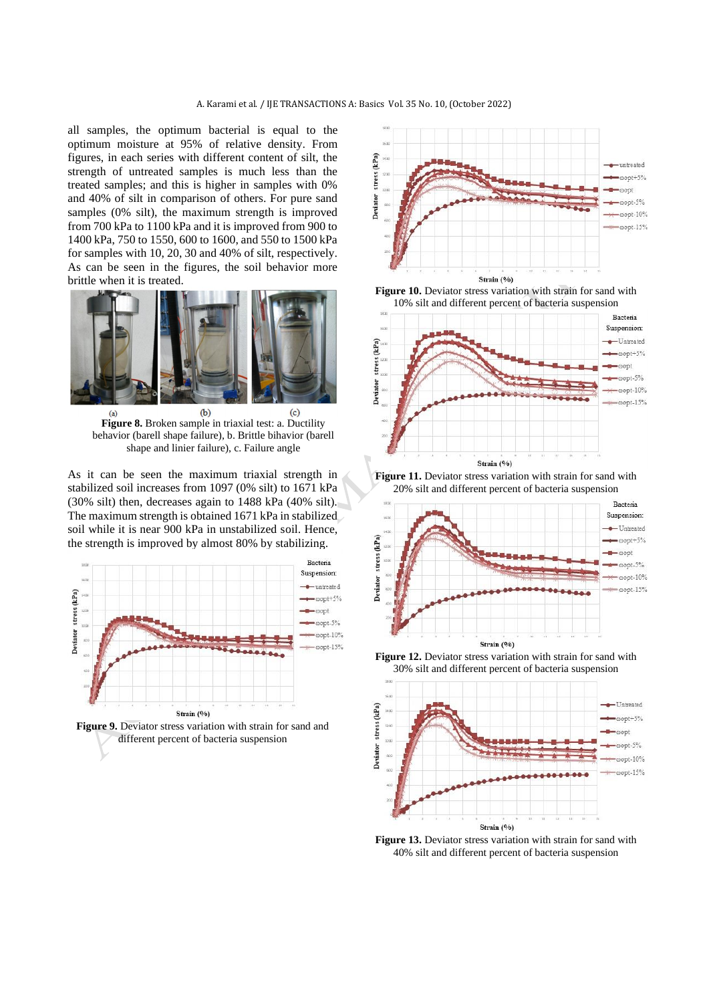all samples, the optimum bacterial is equal to the optimum moisture at 95% of relative density. From figures, in each series with different content of silt, the strength of untreated samples is much less than the treated samples; and this is higher in samples with 0% and 40% of silt in comparison of others. For pure sand samples (0% silt), the maximum strength is improved from 700 kPa to 1100 kPa and it is improved from 900 to 1400 kPa, 750 to 1550, 600 to 1600, and 550 to 1500 kPa for samples with 10, 20, 30 and 40% of silt, respectively. As can be seen in the figures, the soil behavior more brittle when it is treated.



**Figure 8.** Broken sample in triaxial test: a. Ductility behavior (barell shape failure), b. Brittle bihavior (barell shape and linier failure), c. Failure angle

As it can be seen the maximum triaxial strength in stabilized soil increases from 1097 (0% silt) to 1671 kPa (30% silt) then, decreases again to 1488 kPa (40% silt). The maximum strength is obtained 1671 kPa in stabilized soil while it is near 900 kPa in unstabilized soil. Hence, the strength is improved by almost 80% by stabilizing.













**Figure 12.** Deviator stress variation with strain for sand with 30% silt and different percent of bacteria suspension



**Figure 13.** Deviator stress variation with strain for sand with 40% silt and different percent of bacteria suspension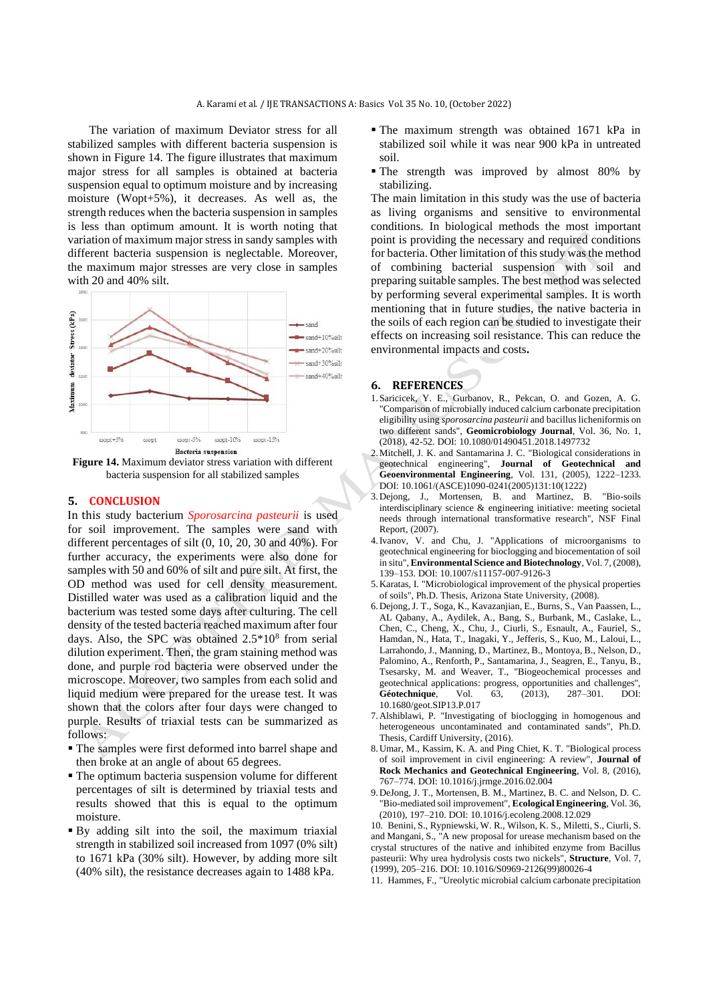The variation of maximum Deviator stress for all stabilized samples with different bacteria suspension is shown in Figure 14. The figure illustrates that maximum major stress for all samples is obtained at bacteria suspension equal to optimum moisture and by increasing moisture (Wopt+5%), it decreases. As well as, the strength reduces when the bacteria suspension in samples is less than optimum amount. It is worth noting that variation of maximum major stress in sandy samples with different bacteria suspension is neglectable. Moreover, the maximum major stresses are very close in samples with 20 and 40% silt.



**Figure 14.** Maximum deviator stress variation with different bacteria suspension for all stabilized samples

### **5. CONCLUSION**

In this study bacterium *Sporosarcina pasteurii* is used for soil improvement. The samples were sand with different percentages of silt (0, 10, 20, 30 and 40%). For further accuracy, the experiments were also done for samples with 50 and 60% of silt and pure silt. At first, the OD method was used for cell density measurement. Distilled water was used as a calibration liquid and the bacterium was tested some days after culturing. The cell density of the tested bacteria reached maximum after four days. Also, the SPC was obtained 2.5\*10<sup>8</sup> from serial dilution experiment. Then, the gram staining method was done, and purple rod bacteria were observed under the microscope. Moreover, two samples from each solid and liquid medium were prepared for the urease test. It was shown that the colors after four days were changed to purple. Results of triaxial tests can be summarized as follows:

- The samples were first deformed into barrel shape and then broke at an angle of about 65 degrees.
- The optimum bacteria suspension volume for different percentages of silt is determined by triaxial tests and results showed that this is equal to the optimum moisture.
- By adding silt into the soil, the maximum triaxial strength in stabilized soil increased from 1097 (0% silt) to 1671 kPa (30% silt). However, by adding more silt (40% silt), the resistance decreases again to 1488 kPa.
- The maximum strength was obtained 1671 kPa in stabilized soil while it was near 900 kPa in untreated soil.
- The strength was improved by almost 80% by stabilizing.

The main limitation in this study was the use of bacteria as living organisms and sensitive to environmental conditions. In biological methods the most important point is providing the necessary and required conditions for bacteria. Other limitation of this study was the method of combining bacterial suspension with soil and preparing suitable samples. The best method was selected by performing several experimental samples. It is worth mentioning that in future studies, the native bacteria in the soils of each region can be studied to investigate their effects on increasing soil resistance. This can reduce the environmental impacts and costs**.**

#### **6. REFERENCES**

- 1.Saricicek, Y. E., Gurbanov, R., Pekcan, O. and Gozen, A. G. "Comparison of microbially induced calcium carbonate precipitation eligibility using *sporosarcina pasteurii* and bacillus licheniformis on two different sands", **Geomicrobiology Journal**, Vol. 36, No. 1, (2018), 42-52. DOI[: 10.1080/01490451.2018.1497732](https://doi.org/10.1080/01490451.2018.1497732)
- 2.Mitchell, J. K. and Santamarina J. C. "Biological considerations in geotechnical engineering", **Journal of Geotechnical and Geoenvironmental Engineering**, Vol. 131, (2005), 1222–1233. DOI: 10.1061/(ASCE)1090-0241(2005)131:10(1222)
- 3.Dejong, J., Mortensen, B. and Martinez, B. "Bio-soils interdisciplinary science & engineering initiative: meeting societal needs through international transformative research", NSF Final Report, (2007).
- 4.Ivanov, V. and Chu, J. "Applications of microorganisms to geotechnical engineering for bioclogging and biocementation of soil in situ", **Environmental Science and Biotechnology**, Vol. 7, (2008), 139–153. DOI: 10.1007/s11157-007-9126-3
- 5.Karatas, I. "Microbiological improvement of the physical properties of soils", Ph.D. Thesis, Arizona State University, (2008).
- 6[.Dejong,](https://www.icevirtuallibrary.com/author/DEJONG%2C+JT) J. T.[, Soga,](https://www.icevirtuallibrary.com/author/SOGA%2C+K) K.[, Kavazanjian,](https://www.icevirtuallibrary.com/author/KAVAZANJIAN%2C+E) E.[, Burns,](https://www.icevirtuallibrary.com/author/BURNS%2C+S) S., [Van Paassen,](https://www.icevirtuallibrary.com/author/vAN+PAASSEN%2C+LA) L., [AL Qabany,](https://www.icevirtuallibrary.com/author/aL+QABANY%2C+A) A., [Aydilek,](https://www.icevirtuallibrary.com/author/AYDILEK%2C+A) A., [Bang,](https://www.icevirtuallibrary.com/author/BANG%2C+SS) S., Burbank, M., [Caslake,](https://www.icevirtuallibrary.com/author/CASLAKE%2C+LF) L., [Chen,](https://www.icevirtuallibrary.com/author/CHEN%2C+CY) C., [Cheng,](https://www.icevirtuallibrary.com/author/CHENG%2C+X) X., [Chu,](https://www.icevirtuallibrary.com/author/CHU%2C+J) J., [Ciurli,](https://www.icevirtuallibrary.com/author/CIURLI%2C+S) S., [Esnault,](https://www.icevirtuallibrary.com/author/ESNAULT-FILET%2C+A) A., [Fauriel,](https://www.icevirtuallibrary.com/author/FAURIEL%2C+S) S., [Hamdan,](https://www.icevirtuallibrary.com/author/HAMDAN%2C+N) N.[, Hata,](https://www.icevirtuallibrary.com/author/HATA%2C+T) T., [Inagaki,](https://www.icevirtuallibrary.com/author/INAGAKI%2C+Y) Y.[, Jefferis,](https://www.icevirtuallibrary.com/author/JEFFERIS%2C+S) S.[, Kuo,](https://www.icevirtuallibrary.com/author/KUO%2C+M) M.[, Laloui,](https://www.icevirtuallibrary.com/author/LALOUI%2C+L) L., [Larrahondo,](https://www.icevirtuallibrary.com/author/LARRAHONDO%2C+J) J.[, Manning,](https://www.icevirtuallibrary.com/author/MANNING%2C+DAC) D.[, Martinez,](https://www.icevirtuallibrary.com/author/MARTINEZ%2C+B) B., [Montoya,](https://www.icevirtuallibrary.com/author/MONTOYA%2C+BM) B.[, Nelson,](https://www.icevirtuallibrary.com/author/NELSON%2C+DC) D[.,](https://www.icevirtuallibrary.com/author/PALOMINO%2C+A) [Palomino,](https://www.icevirtuallibrary.com/author/PALOMINO%2C+A) A.[, Renforth,](https://www.icevirtuallibrary.com/author/RENFORTH%2C+P) P., [Santamarina,](https://www.icevirtuallibrary.com/author/SANTAMARINA%2C+JC) J., [Seagren,](https://www.icevirtuallibrary.com/author/SEAGREN%2C+EA) E.[, Tanyu,](https://www.icevirtuallibrary.com/author/TANYU%2C+B) B., [Tsesarsky,](https://www.icevirtuallibrary.com/author/TSESARSKY%2C+M) M. and [Weaver,](https://www.icevirtuallibrary.com/author/WEAVER%2C+T) T., "Biogeochemical processes and geotechnical applications: progress, opportunities and challenges", **Géotechnique**, Vol. 63, (2013), 287–301. DOI: 10.1680/geot.SIP13.P.017
- 7.Alshiblawi, P. "Investigating of bioclogging in homogenous and heterogeneous uncontaminated and contaminated sands". Ph.D. Thesis, Cardiff University, (2016).
- 8.Umar, M., Kassim, K. A. and Ping Chiet, K. T. "Biological process of soil improvement in civil engineering: A review", **Journal of Rock Mechanics and Geotechnical Engineering**, Vol. 8, (2016), 767–774. DOI: 10.1016/j.jrmge.2016.02.004
- 9.DeJong, J. T., Mortensen, B. M., Martinez, B. C. and Nelson, D. C. "Bio-mediated soil improvement", **Ecological Engineering**, Vol. 36, (2010), 197–210. DOI: 10.1016/j.ecoleng.2008.12.029

10. Benini, S., Rypniewski, W. R., Wilson, K. S.[, Miletti, S.,](https://www.ncbi.nlm.nih.gov/pubmed/?term=Miletti%20S%5BAuthor%5D&cauthor=true&cauthor_uid=10368287) [Ciurli, S.](https://www.ncbi.nlm.nih.gov/pubmed/?term=Ciurli%20S%5BAuthor%5D&cauthor=true&cauthor_uid=10368287)  and [Mangani, S.](https://www.ncbi.nlm.nih.gov/pubmed/?term=Mangani%20S%5BAuthor%5D&cauthor=true&cauthor_uid=10368287), "A new proposal for urease mechanism based on the crystal structures of the native and inhibited enzyme from Bacillus pasteurii: Why urea hydrolysis costs two nickels", **Structure**, Vol. 7, (1999), 205–216. DOI: 10.1016/S0969-2126(99)80026-4

11. Hammes, F., "Ureolytic microbial calcium carbonate precipitation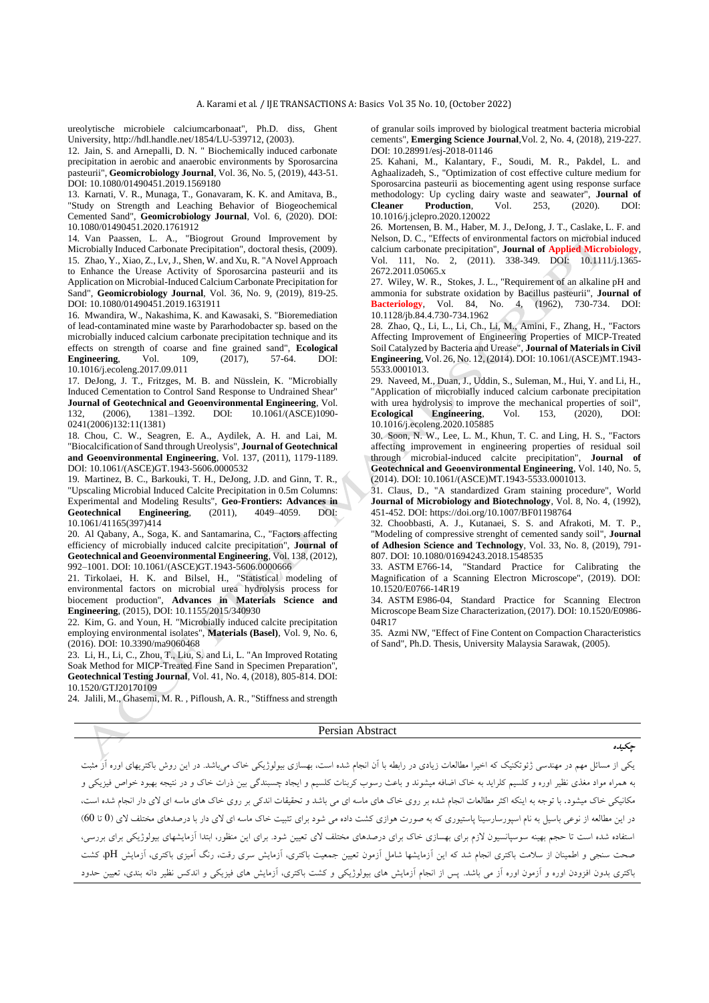ureolytische microbiele calciumcarbonaat", Ph.D. diss, Ghent University[, http://hdl.handle.net/1854/LU-539712](http://hdl.handle.net/1854/LU-539712), (2003).

12. Jain, S. and Arnepalli, D. N. " Biochemically induced carbonate precipitation in aerobic and anaerobic environments by Sporosarcina pasteurii", **Geomicrobiology Journal**, Vol. 36, No. 5, (2019), 443-51. [DOI: 10.1080/01490451.2019.1569180](https://doi.org/10.1080/01490451.2019.1569180)

13. Karnati, V. R., Munaga, T., Gonavaram, K. K. and Amitava, B., "Study on Strength and Leaching Behavior of Biogeochemical Cemented Sand", **Geomicrobiology Journal**, Vol. 6, (2020). [DOI:](https://doi.org/10.1080/01490451.2020.1761912)  [10.1080/01490451.2020.1761912](https://doi.org/10.1080/01490451.2020.1761912)

14. Van Paassen, L. A., "Biogrout Ground Improvement by Microbially Induced Carbonate Precipitation", doctoral thesis, (2009). 15. Zhao, Y., Xiao, Z., Lv, J., Shen, W. and Xu, R. "A Novel Approach to Enhance the Urease Activity of Sporosarcina pasteurii and its Application on Microbial-Induced Calcium Carbonate Precipitation for Sand", **Geomicrobiology Journal**, Vol. 36, No. 9, (2019), 819-25. [DOI: 10.1080/01490451.2019.1631911](https://doi.org/10.1080/01490451.2019.1631911)

16. Mwandira, W., Nakashima, K. and Kawasaki, S. "Bioremediation of lead-contaminated mine waste by Pararhodobacter sp. based on the microbially induced calcium carbonate precipitation technique and its effects on strength of coarse and fine grained sand", **Ecological Engineering**, Vol. 109, (2017), 57-64. DOI: 10.1016/j.ecoleng.2017.09.011

17. DeJong, J. T., Fritzges, M. B. and Nüsslein, K. "Microbially Induced Cementation to Control Sand Response to Undrained Shear" **Journal of Geotechnical and Geoenvironmental Engineering**, Vol. 132, (2006), 1381–1392. DOI: 10.1061/(ASCE)1090- 0241(2006)132:11(1381)

18. Chou, C. W., Seagren, E. A., Aydilek, A. H. and Lai, M. "Biocalcification of Sand through Ureolysis", **Journal of Geotechnical and Geoenvironmental Engineering**, Vol. 137, (2011), 1179-1189. DOI: 10.1061/(ASCE)GT.1943-5606.0000532

19. Martinez, B. C., Barkouki, T. H., DeJong, J.D. and Ginn, T. R., "Upscaling Microbial Induced Calcite Precipitation in 0.5m Columns: Experimental and Modeling Results", **Geo-Frontiers: Advances in**  Geotechnical Engineering, 10.1061/41165(397)414

20. Al Qabany, A., Soga, K. and Santamarina, C., "Factors affecting efficiency of microbially induced calcite precipitation", **Journal of Geotechnical and Geoenvironmental Engineering**, Vol. 138, (2012), 992–1001. DOI: 10.1061/(ASCE)GT.1943-5606.0000666

21. Tirkolaei, H. K. and Bilsel, H., "Statistical modeling of environmental factors on microbial urea hydrolysis process for biocement production", **Advances in Materials Science and Engineering**, (2015), DOI: 10.1155/2015/340930

22. Kim, G. and Youn, H. "Microbially induced calcite precipitation employing environmental isolates", **Materials (Basel)**, Vol. 9, No. 6, (2016). DOI: 10.3390/ma9060468

23. Li, H., Li, C., Zhou, T., Liu, S. and Li, L. "An Improved Rotating Soak Method for MICP-Treated Fine Sand in Specimen Preparation" **Geotechnical Testing Journal**, Vol. 41, No. 4, (2018), 805-814. DOI: [10.1520/GTJ20170109](https://doi.org/10.1520/GTJ20170109)

24. Jalili, M., Ghasemi, M. R. , Pifloush, A. R., "Stiffness and strength

of granular soils improved by biological treatment bacteria microbial cements", **Emerging Science Journal**,Vol. 2, No. 4, (2018), 219-227. DOI: [10.28991/esj-2018-01146](https://doi.org/10.28991/esj-2018-01146)

25. Kahani, M., Kalantary, F., Soudi, M. R., Pakdel, L. and Aghaalizadeh, S., "Optimization of cost effective culture medium for Sporosarcina pasteurii as biocementing agent using response surface methodology: Up cycling dairy waste and seawater", **Journal of Cleaner Production**, Vol. 253, (2020). DOI: [10.1016/j.jclepro.2020.120022](https://doi.org/10.1016/j.jclepro.2020.120022)

26. Mortensen, B. M., Haber, M. J., DeJong, J. T., Caslake, L. F. and Nelson, D. C., "Effects of environmental factors on microbial induced calcium carbonate precipitation", **Journal of Applied Microbiology**, Vol. 111, No. 2, (2011). 338-349. DOI: [10.1111/j.1365-](https://doi.org/10.1111/j.1365-2672.2011.05065.x) [2672.2011.05065.x](https://doi.org/10.1111/j.1365-2672.2011.05065.x)

27. Wiley, W. R., Stokes, J. L., "Requirement of an alkaline pH and ammonia for substrate oxidation by Bacillus pasteurii", **Journal of Bacteriology**, Vol. 84, No. 4, (1962), 730-734. DOI: [10.1128/jb.84.4.730-734.1962](https://doi.org/10.1128/jb.84.4.730-734.1962)

28. Zhao, Q., Li, L., Li, Ch., Li, M., Amini, F., Zhang, H., "Factors Affecting Improvement of Engineering Properties of MICP-Treated Soil Catalyzed by Bacteria and Urease", **Journal of Materials in Civil Engineering**, Vol. 26, No. 12, (2014). DOI: 10.1061/(ASCE)MT.1943- 5533.0001013.

29. Naveed, M., Duan, J., Uddin, S., Suleman, M., Hui, Y. and Li, H., "Application of microbially induced calcium carbonate precipitation with urea hydrolysis to improve the mechanical properties of soil". **Ecological Engineering**, Vol. 153, (2020), DOI: [10.1016/j.ecoleng.2020.105885](https://doi.org/10.1016/j.ecoleng.2020.105885)

30. Soon, N. W., Lee, L. M., Khun, T. C. and Ling, H. S., "Factors affecting improvement in engineering properties of residual soil through microbial-induced calcite precipitation", **Journal of Geotechnical and Geoenvironmental Engineering**, Vol. 140, No. 5, (2014). DOI: 10.1061/(ASCE)MT.1943-5533.0001013.

31. Claus, D., "A standardized Gram staining procedure", World **Journal of Microbiology and Biotechnology**, Vol. 8, No. 4, (1992), 451-452. DOI: https://doi.org/10.1007/BF01198764

32. Choobbasti, A. J., Kutanaei, S. S. and Afrakoti, M. T. P., "Modeling of compressive strenght of cemented sandy soil", **Journal of Adhesion Science and Technology**, Vol. 33, No. 8, (2019), 791- 807. DOI: 10.1080/01694243.2018.1548535

33. ASTM E766-14, "Standard Practice for Calibrating the Magnification of a Scanning Electron Microscope", (2019). DOI: 10.1520/E0766-14R19

34. ASTM E986-04, Standard Practice for Scanning Electron Microscope Beam Size Characterization, (2017). DOI: 10.1520/E0986- 04R17

35. Azmi NW, "Effect of Fine Content on Compaction Characteristics of Sand", Ph.D. Thesis, University Malaysia Sarawak, (2005).

#### Persian Abstract

یکی از مسائل مهم در مهندسی ژئوتکنیک كه اخیرا مطالعات زیادی در رابطه با آن انجام شده است، بهسازی بیولوژیکی خاک میباشد. در این روش باكتریهای اوره آز مثبت به همراه مواد مغذي نظیر اوره و كلسیم كلراید به خاك اضافه میشوند و باعث رسوب كربنات كلسیم و ایجاد چسبندگی بین ذرات خاك و در نتیجه بهبود خواص فیزیکی و مکانیکی خاک میشود. با توجه به اینکه اکثر مطالعات انجام شده بر روی خاک های ماسه ای می باشد و تحقیقات اندکی بر روی خاک های ماسه ای لای دار انجام شده است، در این مطالعه از نوعی باسیل به نام اسپورسارسینا پاستیوري كه به صورت هوازي كشت واده می شود براي تخاك ماسه اي لاي دار با درصدهاي مختلف لاي (0 تا 60) استفاده شده است تا حجم بهینه سوسپانسیون الزم براي بهسازي خاك براي درصدهاي مختلف الي تعیین شود. براي این منظور، ابتدا آزمایشهاي بیولوژیکی براي بررسی، صحت سنجی و اطمینان از سالمت باكتري انجام شد كه این آزمایشها شامل آزمون تعیین جمعیت باكتري، آزمایش سري رقت، رنگ آمیزي باكتري، آزمایش pH، كشت باكتري بدون افزودن اوره و آزمون اوره آز می باشد. پس از انجام آزمایش هاي بیولوژیکی و كشت باكتري، آزمایش هاي فیزیکی و اندكس نظیر دانه بندي، تعیین حدود

**چکیده**